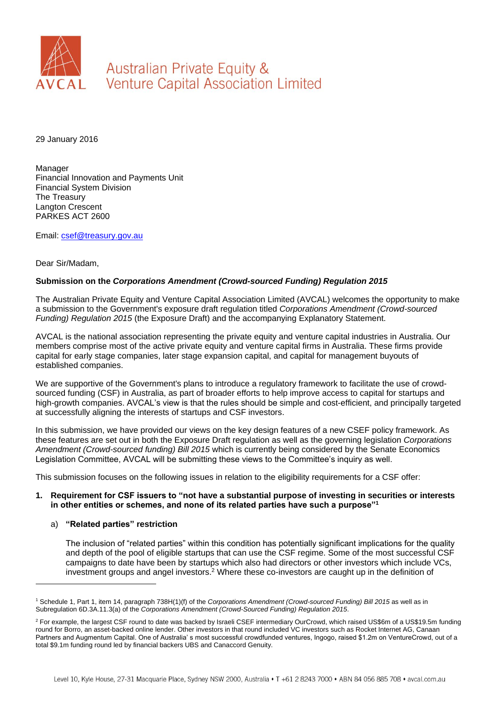

Australian Private Equity & **Venture Capital Association Limited** 

29 January 2016

Manager Financial Innovation and Payments Unit Financial System Division The Treasury Langton Crescent PARKES ACT 2600

Email: [csef@treasury.gov.au](mailto:csef@treasury.gov.au)

## Dear Sir/Madam,

# **Submission on the** *Corporations Amendment (Crowd-sourced Funding) Regulation 2015*

The Australian Private Equity and Venture Capital Association Limited (AVCAL) welcomes the opportunity to make a submission to the Government's exposure draft regulation titled *Corporations Amendment (Crowd-sourced Funding) Regulation 2015* (the Exposure Draft) and the accompanying Explanatory Statement.

AVCAL is the national association representing the private equity and venture capital industries in Australia. Our members comprise most of the active private equity and venture capital firms in Australia. These firms provide capital for early stage companies, later stage expansion capital, and capital for management buyouts of established companies.

We are supportive of the Government's plans to introduce a regulatory framework to facilitate the use of crowdsourced funding (CSF) in Australia, as part of broader efforts to help improve access to capital for startups and high-growth companies. AVCAL's view is that the rules should be simple and cost-efficient, and principally targeted at successfully aligning the interests of startups and CSF investors.

In this submission, we have provided our views on the key design features of a new CSEF policy framework. As these features are set out in both the Exposure Draft regulation as well as the governing legislation *Corporations Amendment (Crowd-sourced funding) Bill 2015* which is currently being considered by the Senate Economics Legislation Committee, AVCAL will be submitting these views to the Committee's inquiry as well.

This submission focuses on the following issues in relation to the eligibility requirements for a CSF offer:

#### **1. Requirement for CSF issuers to "not have a substantial purpose of investing in securities or interests in other entities or schemes, and none of its related parties have such a purpose"<sup>1</sup>**

a) **"Related parties" restriction**

l

The inclusion of "related parties" within this condition has potentially significant implications for the quality and depth of the pool of eligible startups that can use the CSF regime. Some of the most successful CSF campaigns to date have been by startups which also had directors or other investors which include VCs, investment groups and angel investors.<sup>2</sup> Where these co-investors are caught up in the definition of

<sup>1</sup> Schedule 1, Part 1, item 14, paragraph 738H(1)(f) of the *Corporations Amendment (Crowd-sourced Funding) Bill 2015* as well as in Subregulation 6D.3A.11.3(a) of the *Corporations Amendment (Crowd-Sourced Funding) Regulation 2015*.

<sup>&</sup>lt;sup>2</sup> For example, the largest CSF round to date was backed by Israeli CSEF intermediary OurCrowd, which raised US\$6m of a US\$19.5m funding round for Borro, an asset-backed online lender. Other investors in that round included VC investors such as Rocket Internet AG, Canaan Partners and Augmentum Capital. One of Australia' s most successful crowdfunded ventures, Ingogo, raised \$1.2m on VentureCrowd, out of a total \$9.1m funding round led by financial backers UBS and Canaccord Genuity.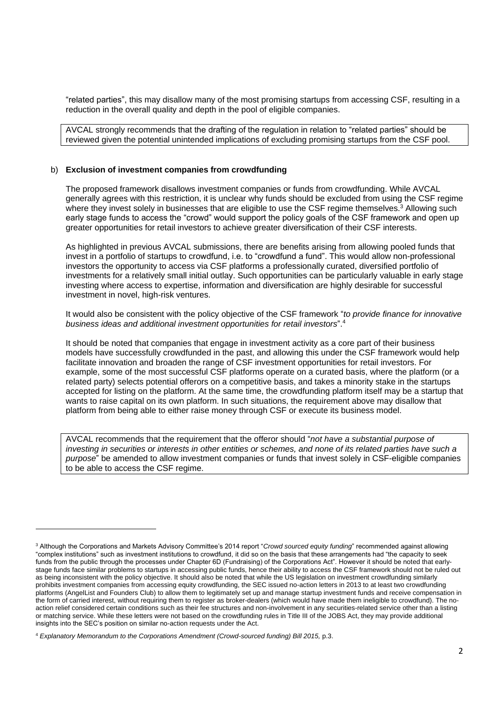"related parties", this may disallow many of the most promising startups from accessing CSF, resulting in a reduction in the overall quality and depth in the pool of eligible companies.

AVCAL strongly recommends that the drafting of the regulation in relation to "related parties" should be reviewed given the potential unintended implications of excluding promising startups from the CSF pool.

#### b) **Exclusion of investment companies from crowdfunding**

The proposed framework disallows investment companies or funds from crowdfunding. While AVCAL generally agrees with this restriction, it is unclear why funds should be excluded from using the CSF regime where they invest solely in businesses that are eligible to use the CSF regime themselves.<sup>3</sup> Allowing such early stage funds to access the "crowd" would support the policy goals of the CSF framework and open up greater opportunities for retail investors to achieve greater diversification of their CSF interests.

As highlighted in previous AVCAL submissions, there are benefits arising from allowing pooled funds that invest in a portfolio of startups to crowdfund, i.e. to "crowdfund a fund". This would allow non-professional investors the opportunity to access via CSF platforms a professionally curated, diversified portfolio of investments for a relatively small initial outlay. Such opportunities can be particularly valuable in early stage investing where access to expertise, information and diversification are highly desirable for successful investment in novel, high-risk ventures.

It would also be consistent with the policy objective of the CSF framework "*to provide finance for innovative business ideas and additional investment opportunities for retail investors*". 4

It should be noted that companies that engage in investment activity as a core part of their business models have successfully crowdfunded in the past, and allowing this under the CSF framework would help facilitate innovation and broaden the range of CSF investment opportunities for retail investors. For example, some of the most successful CSF platforms operate on a curated basis, where the platform (or a related party) selects potential offerors on a competitive basis, and takes a minority stake in the startups accepted for listing on the platform. At the same time, the crowdfunding platform itself may be a startup that wants to raise capital on its own platform. In such situations, the requirement above may disallow that platform from being able to either raise money through CSF or execute its business model.

AVCAL recommends that the requirement that the offeror should "*not have a substantial purpose of investing in securities or interests in other entities or schemes, and none of its related parties have such a purpose*" be amended to allow investment companies or funds that invest solely in CSF-eligible companies to be able to access the CSF regime.

l

<sup>3</sup> Although the Corporations and Markets Advisory Committee's 2014 report "*Crowd sourced equity funding*" recommended against allowing "complex institutions" such as investment institutions to crowdfund, it did so on the basis that these arrangements had "the capacity to seek funds from the public through the processes under Chapter 6D (Fundraising) of the Corporations Act". However it should be noted that earlystage funds face similar problems to startups in accessing public funds, hence their ability to access the CSF framework should not be ruled out as being inconsistent with the policy objective. It should also be noted that while the US legislation on investment crowdfunding similarly prohibits investment companies from accessing equity crowdfunding, the SEC issued no-action letters in 2013 to at least two crowdfunding platforms (AngelList and Founders Club) to allow them to legitimately set up and manage startup investment funds and receive compensation in the form of carried interest, without requiring them to register as broker-dealers (which would have made them ineligible to crowdfund). The noaction relief considered certain conditions such as their fee structures and non-involvement in any securities-related service other than a listing or matching service. While these letters were not based on the crowdfunding rules in Title III of the JOBS Act, they may provide additional insights into the SEC's position on similar no-action requests under the Act.

<sup>&</sup>lt;sup>4</sup> Explanatory Memorandum to the Corporations Amendment (Crowd-sourced funding) Bill 2015, p.3.